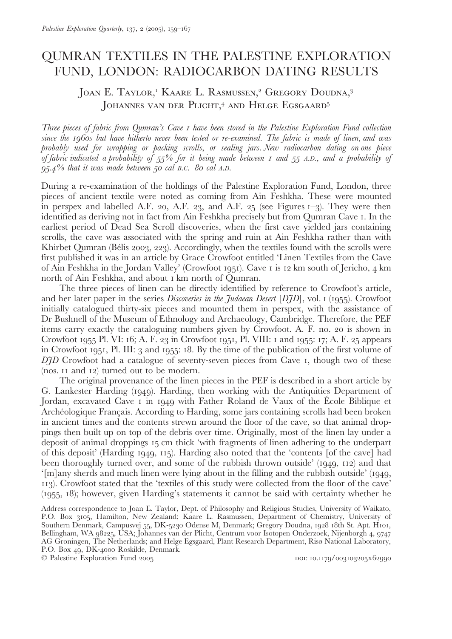# **OUMRAN TEXTILES IN THE PALESTINE EXPLORATION** FUND, LONDON: RADIOCARBON DATING RESULTS

## JOAN E. TAYLOR,<sup>1</sup> KAARE L. RASMUSSEN,<sup>2</sup> GREGORY DOUDNA,<sup>3</sup> JOHANNES VAN DER PLICHT,<sup>4</sup> AND HELGE EGSGAARD<sup>5</sup>

Three pieces of fabric from Qumran's Cave I have been stored in the Palestine Exploration Fund collection since the 1960s but have hitherto never been tested or re-examined. The fabric is made of linen, and was probably used for wrapping or packing scrolls, or sealing jars. New radiocarbon dating on one piece of fabric indicated a probability of 55% for it being made between 1 and 55 A.D., and a probability of  $95.4\%$  that it was made between 50 cal B.C. -80 cal A.D.

During a re-examination of the holdings of the Palestine Exploration Fund, London, three pieces of ancient textile were noted as coming from Ain Feshkha. These were mounted in perspex and labelled A.F. 20, A.F. 23, and A.F. 25 (see Figures  $I=3$ ). They were then identified as deriving not in fact from Ain Feshkha precisely but from Oumran Cave 1. In the earliest period of Dead Sea Scroll discoveries, when the first cave yielded jars containing scrolls, the cave was associated with the spring and ruin at Ain Feshkha rather than with Khirbet Qumran (Bélis 2003, 223). Accordingly, when the textiles found with the scrolls were first published it was in an article by Grace Crowfoot entitled 'Linen Textiles from the Cave of Ain Feshkha in the Jordan Valley' (Crowfoot 1951). Cave 1 is 12 km south of Jericho, 4 km north of Ain Feshkha, and about I km north of Qumran.

The three pieces of linen can be directly identified by reference to Crowfoot's article, and her later paper in the series Discoveries in the Judaean Desert [DJD], vol. 1 (1955). Crowfoot initially catalogued thirty-six pieces and mounted them in perspex, with the assistance of Dr Bushnell of the Museum of Ethnology and Archaeology, Cambridge. Therefore, the PEF items carry exactly the cataloguing numbers given by Crowfoot. A. F. no. 20 is shown in Crowfoot 1955 Pl. VI: 16; A. F. 23 in Crowfoot 1951, Pl. VIII: 1 and 1955: 17; A. F. 25 appears in Crowfoot 1951, Pl. III: 3 and 1955: 18. By the time of the publication of the first volume of DJD Crowfoot had a catalogue of seventy-seven pieces from Cave 1, though two of these (nos. II and 12) turned out to be modern.

The original provenance of the linen pieces in the PEF is described in a short article by G. Lankester Harding (1949). Harding, then working with the Antiquities Department of Jordan, excavated Cave I in 1949 with Father Roland de Vaux of the École Biblique et Archéologique Français. According to Harding, some jars containing scrolls had been broken in ancient times and the contents strewn around the floor of the cave, so that animal droppings then built up on top of the debris over time. Originally, most of the linen lay under a deposit of animal droppings 15 cm thick 'with fragments of linen adhering to the underpart of this deposit' (Harding 1949, 115). Harding also noted that the 'contents [of the cave] had been thoroughly turned over, and some of the rubbish thrown outside' (1949, 112) and that '[m]any sherds and much linen were lying about in the filling and the rubbish outside' (1949, 113). Crowfoot stated that the 'textiles of this study were collected from the floor of the cave' (1955, 18); however, given Harding's statements it cannot be said with certainty whether he

Address correspondence to Joan E. Taylor, Dept. of Philosophy and Religious Studies, University of Waikato, P.O. Box 3105, Hamilton, New Zealand; Kaare L. Rasmussen, Department of Chemistry, University of Southern Denmark, Campusvej 55, DK-5230 Odense M, Denmark; Gregory Doudna, 1928 18th St. Apt. H101, Bellingham, WA 98225, USA; Johannes van der Plicht, Centrum voor Isotopen Onderzoek, Nijenborgh 4, 9747 AG Groningen, The Netherlands; and Helge Egsgaard, Plant Research Department, Risø National Laboratory, P.O. Box 49, DK-4000 Roskilde, Denmark.

© Palestine Exploration Fund 2005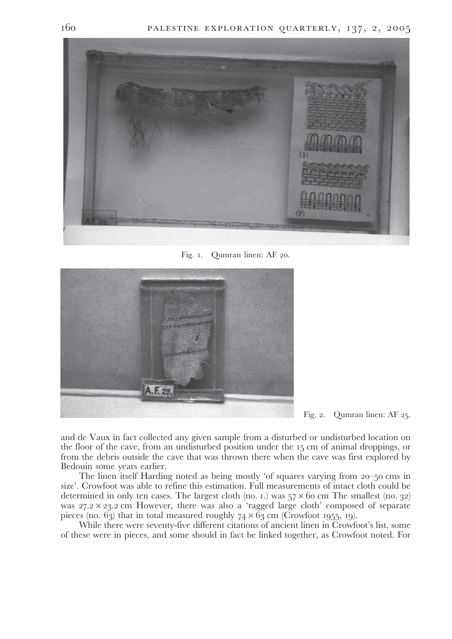

Fig. I. Qumran linen: AF 20.



Fig. 2. Qumran linen: AF 25.

and de Vaux in fact collected any given sample from a disturbed or undisturbed location on the floor of the cave, from an undisturbed position under the 15 cm of animal droppings, or from the debris outside the cave that was thrown there when the cave was first explored by Bedouin some years earlier.

The linen itself Harding noted as being mostly 'of squares varying from 20–50 cms in size'. Crowfoot was able to refine this estimation. Full measurements of intact cloth could be determined in only ten cases. The largest cloth (no. 1.) was  $57 \times 60$  cm The smallest (no. 32) was  $27.2 \times 23.2$  cm However, there was also a 'ragged large cloth' composed of separate pieces (no.  $6\frac{1}{3}$ ) that in total measured roughly  $74 \times 6\frac{1}{3}$  cm (Crowfoot 1955, 19).

While there were seventy-five different citations of ancient linen in Crowfoot's list, some of these were in pieces, and some should in fact be linked together, as Crowfoot noted. For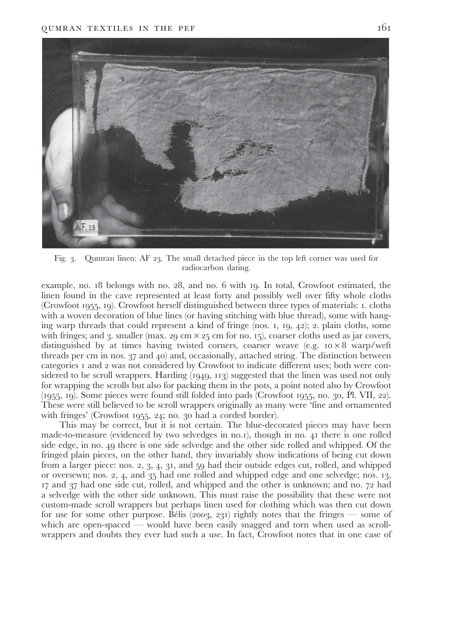

Fig. 3. Qumran linen: AF 23. The small detached piece in the top left corner was used for radiocarbon dating.

example, no. 18 belongs with no. 28, and no. 6 with 19. In total, Crowfoot estimated, the linen found in the cave represented at least forty and possibly well over fifty whole cloths (Crowfoot 1955, 19). Crowfoot herself distinguished between three types of materials: 1. cloths with a woven decoration of blue lines (or having stitching with blue thread), some with hanging warp threads that could represent a kind of fringe (nos. 1, 19, 42); 2. plain cloths, some with fringes; and 3, smaller (max, 29 cm  $\times$  25 cm for no. 15), coarser cloths used as jar covers, distinguished by at times having twisted corners, coarser weave (e.g.  $10 \times 8$  warp/weft threads per cm in nos. 37 and 40) and, occasionally, attached string. The distinction between categories 1 and 2 was not considered by Crowfoot to indicate different uses; both were considered to be scroll wrappers. Harding  $(1949, 113)$  suggested that the linen was used not only for wrapping the scrolls but also for packing them in the pots, a point noted also by Crowfoot (1955, 19). Some pieces were found still folded into pads (Crowfoot 1955, no. 30, Pl. VII, 22). These were still believed to be scroll wrappers originally as many were 'fine and ornamented with fringes' (Crowfoot 1955, 24; no. 30 had a corded border).

This may be correct, but it is not certain. The blue-decorated pieces may have been made-to-measure (evidenced by two selvedges in no.1), though in no. 41 there is one rolled side edge, in no. 49 there is one side selvedge and the other side rolled and whipped. Of the fringed plain pieces, on the other hand, they invariably show indications of being cut down from a larger piece: nos. 2, 3, 4, 31, and 59 had their outside edges cut, rolled, and whipped or oversewn; nos. 2, 4, and 35 had one rolled and whipped edge and one selvedge; nos. 13, 17 and 37 had one side cut, rolled, and whipped and the other is unknown; and no. 72 had a selvedge with the other side unknown. This must raise the possibility that these were not custom-made scroll wrappers but perhaps linen used for clothing which was then cut down for use for some other purpose. Bélis (2003, 231) rightly notes that the fringes — some of which are open-spaced — would have been easily snagged and torn when used as scrollwrappers and doubts they ever had such a use. In fact, Crowfoot notes that in one case of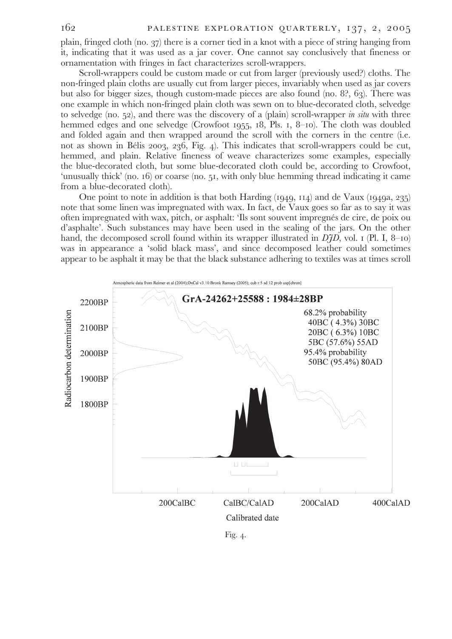plain, fringed cloth (no. 37) there is a corner tied in a knot with a piece of string hanging from it, indicating that it was used as a jar cover. One cannot say conclusively that fineness or ornamentation with fringes in fact characterizes scroll-wrappers.

Scroll-wrappers could be custom made or cut from larger (previously used?) cloths. The non-fringed plain cloths are usually cut from larger pieces, invariably when used as jar covers but also for bigger sizes, though custom-made pieces are also found (no. 8?, 63). There was one example in which non-fringed plain cloth was sewn on to blue-decorated cloth, selvedge to selvedge (no. 52), and there was the discovery of a (plain) scroll-wrapper in situ with three hemmed edges and one selvedge (Crowfoot 1955, 18, Pls. 1, 8–10). The cloth was doubled and folded again and then wrapped around the scroll with the corners in the centre (i.e. not as shown in Bélis 2003, 236, Fig. 4). This indicates that scroll-wrappers could be cut, hemmed, and plain. Relative fineness of weave characterizes some examples, especially the blue-decorated cloth, but some blue-decorated cloth could be, according to Crowfoot, 'unusually thick' (no. 16) or coarse (no. 51, with only blue hemming thread indicating it came from a blue-decorated cloth).

One point to note in addition is that both Harding  $(1949, 114)$  and de Vaux  $(1949a, 235)$ note that some linen was impregnated with wax. In fact, de Vaux goes so far as to say it was often impregnated with wax, pitch, or asphalt: 'Ils sont souvent impregnés de cire, de poix ou d'asphalte'. Such substances may have been used in the sealing of the jars. On the other hand, the decomposed scroll found within its wrapper illustrated in  $\hat{D}fD$ , vol. 1 (Pl. I, 8–10) was in appearance a 'solid black mass', and since decomposed leather could sometimes appear to be asphalt it may be that the black substance adhering to textiles was at times scroll

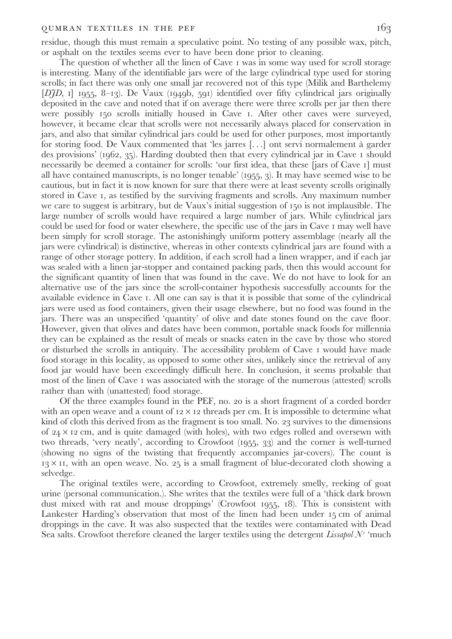#### QUMRAN TEXTILES IN THE PEF

residue, though this must remain a speculative point. No testing of any possible wax, pitch, or asphalt on the textiles seems ever to have been done prior to cleaning.

The question of whether all the linen of Cave I was in some way used for scroll storage is interesting. Many of the identifiable jars were of the large cylindrical type used for storing scrolls; in fact there was only one small jar recovered not of this type (Milik and Barthelemy  $[DJD, 1]$  1955, 8-13). De Vaux (1949b, 591) identified over fifty cylindrical jars originally deposited in the cave and noted that if on average there were three scrolls per jar then there were possibly 150 scrolls initially housed in Cave 1. After other caves were surveyed, however, it became clear that scrolls were not necessarily always placed for conservation in jars, and also that similar cylindrical jars could be used for other purposes, most importantly for storing food. De Vaux commented that 'les jarres [...] ont servi normalement à garder des provisions' (1962, 35). Harding doubted then that every cylindrical jar in Cave 1 should necessarily be deemed a container for scrolls: 'our first idea, that these [jars of Cave 1] must all have contained manuscripts, is no longer tenable' (1955, 3). It may have seemed wise to be cautious, but in fact it is now known for sure that there were at least seventy scrolls originally stored in Cave I, as testified by the surviving fragments and scrolls. Any maximum number we care to suggest is arbitrary, but de Vaux's initial suggestion of 150 is not implausible. The large number of scrolls would have required a large number of jars. While cylindrical jars could be used for food or water elsewhere, the specific use of the jars in Cave I may well have been simply for scroll storage. The astonishingly uniform pottery assemblage (nearly all the jars were cylindrical) is distinctive, whereas in other contexts cylindrical jars are found with a range of other storage pottery. In addition, if each scroll had a linen wrapper, and if each jar was sealed with a linen jar-stopper and contained packing pads, then this would account for the significant quantity of linen that was found in the cave. We do not have to look for an alternative use of the jars since the scroll-container hypothesis successfully accounts for the available evidence in Cave 1. All one can say is that it is possible that some of the cylindrical jars were used as food containers, given their usage elsewhere, but no food was found in the jars. There was an unspecified 'quantity' of olive and date stones found on the cave floor. However, given that olives and dates have been common, portable snack foods for millennia they can be explained as the result of meals or snacks eaten in the cave by those who stored or disturbed the scrolls in antiquity. The accessibility problem of Cave I would have made food storage in this locality, as opposed to some other sites, unlikely since the retrieval of any food jar would have been exceedingly difficult here. In conclusion, it seems probable that most of the linen of Cave I was associated with the storage of the numerous (attested) scrolls rather than with (unattested) food storage.

Of the three examples found in the PEF, no. 20 is a short fragment of a corded border with an open weave and a count of  $12 \times 12$  threads per cm. It is impossible to determine what kind of cloth this derived from as the fragment is too small. No. 23 survives to the dimensions of  $24 \times 12$  cm, and is quite damaged (with holes), with two edges rolled and oversewn with two threads, 'very neatly', according to Crowfoot (1955, 33) and the corner is well-turned (showing no signs of the twisting that frequently accompanies jar-covers). The count is  $13 \times 11$ , with an open weave. No. 25 is a small fragment of blue-decorated cloth showing a selvedge.

The original textiles were, according to Crowfoot, extremely smelly, reeking of goat urine (personal communication.). She writes that the textiles were full of a 'thick dark brown dust mixed with rat and mouse droppings' (Crowfoot 1955, 18). This is consistent with Lankester Harding's observation that most of the linen had been under 15 cm of animal droppings in the cave. It was also suspected that the textiles were contaminated with Dead Sea salts. Crowfoot therefore cleaned the larger textiles using the detergent Lissapol N' 'much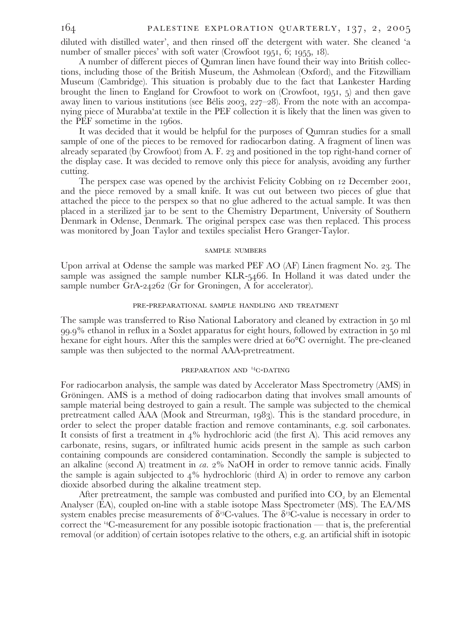diluted with distilled water', and then rinsed off the detergent with water. She cleaned 'a number of smaller pieces' with soft water (Crowfoot 1951, 6; 1955, 18).

A number of different pieces of Qumran linen have found their way into British collections, including those of the British Museum, the Ashmolean (Oxford), and the Fitzwilliam Museum (Cambridge). This situation is probably due to the fact that Lankester Harding brought the linen to England for Crowfoot to work on (Crowfoot, 1951, 5) and then gave away linen to various institutions (see Bélis 2003, 227–28). From the note with an accompanying piece of Murabba'at textile in the PEF collection it is likely that the linen was given to the PEF sometime in the 1960s.

It was decided that it would be helpful for the purposes of Qumran studies for a small sample of one of the pieces to be removed for radiocarbon dating. A fragment of linen was already separated (by Crowfoot) from A. F. 23 and positioned in the top right-hand corner of the display case. It was decided to remove only this piece for analysis, avoiding any further cutting.

The perspex case was opened by the archivist Felicity Cobbing on 12 December 2001, and the piece removed by a small knife. It was cut out between two pieces of glue that attached the piece to the perspex so that no glue adhered to the actual sample. It was then placed in a sterilized jar to be sent to the Chemistry Department, University of Southern Denmark in Odense, Denmark. The original perspex case was then replaced. This process was monitored by Joan Taylor and textiles specialist Hero Granger-Taylor.

#### **SAMPLE NUMBERS**

Upon arrival at Odense the sample was marked PEF AO (AF) Linen fragment No. 23. The sample was assigned the sample number KLR-5466. In Holland it was dated under the sample number GrA-24262 (Gr for Groningen, A for accelerator).

## PRE-PREPARATIONAL SAMPLE HANDLING AND TREATMENT

The sample was transferred to Risø National Laboratory and cleaned by extraction in 50 ml 99.9% ethanol in reflux in a Soxlet apparatus for eight hours, followed by extraction in 50 ml hexane for eight hours. After this the samples were dried at 60<sup>o</sup>C overnight. The pre-cleaned sample was then subjected to the normal AAA-pretreatment.

## PREPARATION AND <sup>14</sup>C-DATING

For radiocarbon analysis, the sample was dated by Accelerator Mass Spectrometry (AMS) in Gröningen. AMS is a method of doing radiocarbon dating that involves small amounts of sample material being destroyed to gain a result. The sample was subjected to the chemical pretreatment called AAA (Mook and Streurman, 1983). This is the standard procedure, in order to select the proper datable fraction and remove contaminants, e.g. soil carbonates. It consists of first a treatment in 4% hydrochloric acid (the first A). This acid removes any carbonate, resins, sugars, or infiltrated humic acids present in the sample as such carbon containing compounds are considered contamination. Secondly the sample is subjected to an alkaline (second A) treatment in  $ca. 2\%$  NaOH in order to remove tannic acids. Finally the sample is again subjected to  $4\%$  hydrochloric (third A) in order to remove any carbon dioxide absorbed during the alkaline treatment step.

After pretreatment, the sample was combusted and purified into CO<sub>2</sub> by an Elemental Analyser (EA), coupled on-line with a stable isotope Mass Spectrometer (MS). The EA/MS system enables precise measurements of  $\delta^{13}C$ -values. The  $\delta^{13}C$ -value is necessary in order to correct the  $^{14}$ C-measurement for any possible isotopic fractionation — that is, the preferential removal (or addition) of certain isotopes relative to the others, e.g. an artificial shift in isotopic

164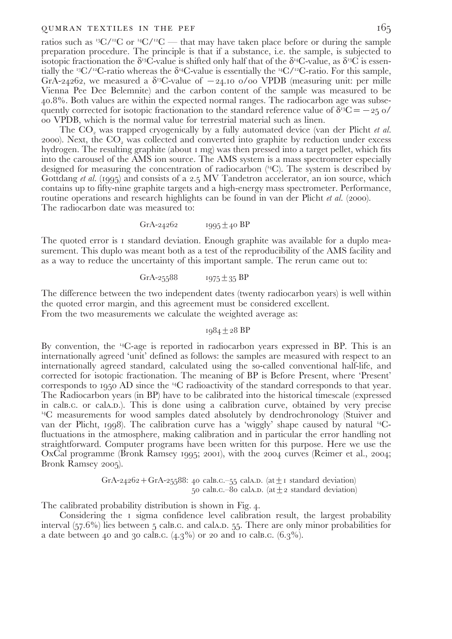#### QUMRAN TEXTILES IN THE PEF

ratios such as <sup>13</sup>C/<sup>12</sup>C or <sup>14</sup>C/<sup>12</sup>C — that may have taken place before or during the sample preparation procedure. The principle is that if a substance, i.e. the sample, is subjected to isotopic fractionation the  $\delta^{13}C$ -value is shifted only half that of the  $\delta^{14}C$ -value, as  $\delta^{13}C$  is essentially the <sup>13</sup>C/<sup>12</sup>C-ratio whereas the  $\delta^{14}$ C-value is essentially the <sup>14</sup>C/<sup>12</sup>C-ratio. For this sample, GrÁ-24262, we measured a  $\delta^{13}C$ -value of  $-24.10$  o/oo VPDB (measuring unit: per mille Vienna Pee Dee Belemnite) and the carbon content of the sample was measured to be 40.8%. Both values are within the expected normal ranges. The radiocarbon age was subsequently corrected for isotopic fractionation to the standard reference value of  $\delta^{33}C = -25$  o/ oo VPDB, which is the normal value for terrestrial material such as linen.

The CO<sub>2</sub> was trapped cryogenically by a fully automated device (van der Plicht et al. 2000). Next, the CO<sub>2</sub> was collected and converted into graphite by reduction under excess hydrogen. The resulting graphite (about 1 mg) was then pressed into a target pellet, which fits into the carousel of the AMS ion source. The AMS system is a mass spectrometer especially designed for measuring the concentration of radiocarbon  $(4C)$ . The system is described by Gottdang et al. (1995) and consists of a 2.5 MV Tandetron accelerator, an ion source, which contains up to fifty-nine graphite targets and a high-energy mass spectrometer. Performance, routine operations and research highlights can be found in van der Plicht et al. (2000). The radiocarbon date was measured to:

> GrA-24262  $1995 \pm 40$  BP

The quoted error is I standard deviation. Enough graphite was available for a duplo measurement. This duplo was meant both as a test of the reproducibility of the AMS facility and as a way to reduce the uncertainty of this important sample. The rerun came out to:

> GrA-25588  $1975 \pm 35$  BP

The difference between the two independent dates (twenty radiocarbon years) is well within the quoted error margin, and this agreement must be considered excellent. From the two measurements we calculate the weighted average as:

## $1984 + 28$  BP

By convention, the  $^{14}C$ -age is reported in radiocarbon years expressed in BP. This is an internationally agreed 'unit' defined as follows: the samples are measured with respect to an internationally agreed standard, calculated using the so-called conventional half-life, and corrected for isotopic fractionation. The meaning of BP is Before Present, where 'Present' corresponds to 1950 AD since the <sup>14</sup>C radioactivity of the standard corresponds to that year. The Radiocarbon years (in BP) have to be calibrated into the historical timescale (expressed in calusco or cala. D.). This is done using a calibration curve, obtained by very precise <sup>14</sup>C measurements for wood samples dated absolutely by dendrochronology (Stuiver and van der Plicht, 1998). The calibration curve has a 'wiggly' shape caused by natural <sup>14</sup>Cfluctuations in the atmosphere, making calibration and in particular the error handling not straightforward. Computer programs have been written for this purpose. Here we use the OxCal programme (Bronk Ramsey 1995; 2001), with the 2004 curves (Reimer et al., 2004; Bronk Ramsey 2005).

$$
GrA-24262+GrA-25588: 40 calB.c.-55 calA.D. (at ± 1 standard deviation)50 calB.c.-80 calA.D. (at ± 2 standard deviation)
$$

The calibrated probability distribution is shown in Fig. 4.

Considering the 1 sigma confidence level calibration result, the largest probability interval (57.6%) lies between 5 cals.c. and cala.p. 55. There are only minor probabilities for a date between 40 and 30 cals.c.  $(4.3\%)$  or 20 and 10 cals.c.  $(6.3\%).$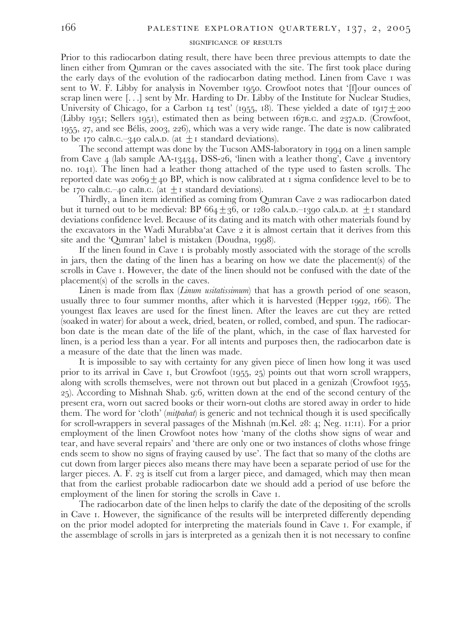### SIGNIFICANCE OF RESULTS

Prior to this radiocarbon dating result, there have been three previous attempts to date the linen either from Qumran or the caves associated with the site. The first took place during the early days of the evolution of the radiocarbon dating method. Linen from Cave I was sent to W. F. Libby for analysis in November 1950. Crowfoot notes that '[f]our ounces of scrap linen were  $[\ldots]$  sent by Mr. Harding to Dr. Libby of the Institute for Nuclear Studies, University of Chicago, for a Carbon 14 test' (1955, 18). These yielded a date of 1917 $\pm$ 200 (Libby 1951; Sellers 1951), estimated then as being between 167B.c. and 237A.D. (Crowfoot,  $1955$ , 27, and see Bélis, 2003, 226), which was a very wide range. The date is now calibrated to be 170 cals.c. -340 cals.p. (at  $+$  1 standard deviations).

The second attempt was done by the Tucson AMS-laboratory in 1994 on a linen sample from Cave 4 (lab sample AA-13434, DSS-26, linen with a leather thong', Cave 4 inventory no. 1041). The linen had a leather thong attached of the type used to fasten scrolls. The reported date was  $2069 \pm 40$  BP, which is now calibrated at 1 sigma confidence level to be to be 170 cals.c.-40 cals.c. (at  $+$  1 standard deviations).

Thirdly, a linen item identified as coming from Oumran Cave 2 was radiocarbon dated but it turned out to be medieval: BP  $664 \pm 36$ , or 1280 calA.D.-1390 calA.D. at  $\pm$ 1 standard deviations confidence level. Because of its dating and its match with other materials found by the excavators in the Wadi Murabba'at Cave 2 it is almost certain that it derives from this site and the 'Qumran' label is mistaken (Doudna, 1998).

If the linen found in Cave I is probably mostly associated with the storage of the scrolls in jars, then the dating of the linen has a bearing on how we date the placement(s) of the scrolls in Cave 1. However, the date of the linen should not be confused with the date of the placement(s) of the scrolls in the caves.

Linen is made from flax (*Linum usitatissimum*) that has a growth period of one season, usually three to four summer months, after which it is harvested (Hepper 1992, 166). The youngest flax leaves are used for the finest linen. After the leaves are cut they are retted (soaked in water) for about a week, dried, beaten, or rolled, combed, and spun. The radiocarbon date is the mean date of the life of the plant, which, in the case of flax harvested for linen, is a period less than a year. For all intents and purposes then, the radiocarbon date is a measure of the date that the linen was made.

It is impossible to say with certainty for any given piece of linen how long it was used prior to its arrival in Cave 1, but Crowfoot  $(1955, 25)$  points out that worn scroll wrappers, along with scrolls themselves, were not thrown out but placed in a genizah (Crowfoot 1955, 25). According to Mishnah Shab. 9:6, written down at the end of the second century of the present era, worn out sacred books or their worn-out cloths are stored away in order to hide them. The word for 'cloth' (mitpahat) is generic and not technical though it is used specifically for scroll-wrappers in several passages of the Mishnah (m.Kel. 28: 4; Neg. 11:11). For a prior employment of the linen Crowfoot notes how 'many of the cloths show signs of wear and tear, and have several repairs' and 'there are only one or two instances of cloths whose fringe ends seem to show no signs of fraying caused by use'. The fact that so many of the cloths are cut down from larger pieces also means there may have been a separate period of use for the larger pieces. A. F. 23 is itself cut from a larger piece, and damaged, which may then mean that from the earliest probable radiocarbon date we should add a period of use before the employment of the linen for storing the scrolls in Cave 1.

The radiocarbon date of the linen helps to clarify the date of the depositing of the scrolls in Cave 1. However, the significance of the results will be interpreted differently depending on the prior model adopted for interpreting the materials found in Cave I. For example, if the assemblage of scrolls in jars is interpreted as a genizah then it is not necessary to confine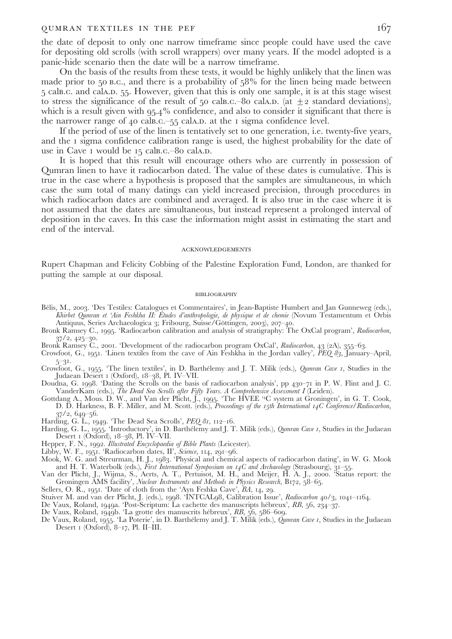#### QUMRAN TEXTILES IN THE PEF

the date of deposit to only one narrow timeframe since people could have used the cave for depositing old scrolls (with scroll wrappers) over many years. If the model adopted is a panic-hide scenario then the date will be a narrow timeframe.

On the basis of the results from these tests, it would be highly unlikely that the linen was made prior to  $50$  B.C., and there is a probability of  $58\%$  for the linen being made between 5 calb.c. and cala.p. 55. However, given that this is only one sample, it is at this stage wisest to stress the significance of the result of 50 cals.c. -80 cals.p. (at  $\pm$ 2 standard deviations), which is a result given with 95.4% confidence, and also to consider it significant that there is the narrower range of 40 calb.c.  $-55$  cala.p. at the 1 sigma confidence level.

If the period of use of the linen is tentatively set to one generation, i.e. twenty-five years, and the I sigma confidence calibration range is used, the highest probability for the date of use in Cave I would be 15 cals.c.-80 cala.p.

It is hoped that this result will encourage others who are currently in possession of Qumran linen to have it radiocarbon dated. The value of these dates is cumulative. This is true in the case where a hypothesis is proposed that the samples are simultaneous, in which case the sum total of many datings can yield increased precision, through procedures in which radiocarbon dates are combined and averaged. It is also true in the case where it is not assumed that the dates are simultaneous, but instead represent a prolonged interval of deposition in the caves. In this case the information might assist in estimating the start and end of the interval.

#### **ACKNOWLEDGEMENTS**

Rupert Chapman and Felicity Cobbing of the Palestine Exploration Fund, London, are thanked for putting the sample at our disposal.

#### **BIBLIOGRAPHY**

- Bélis, M., 2003. 'Des Testiles: Catalogues et Commentaires', in Jean-Baptiste Humbert and Jan Gunneweg (eds.), Khirbet Qumran et 'Ain Feshkha II: Études d'anthropologie, de physique et de chemie (Novum Testamentum et Orbis Antiquus, Series Archaeologica 3; Fribourg, Suisse/Göttingen, 2003), 207-40.
- Bronk Ramsey C., 1995. 'Radiocarbon calibration and analysis of stratigraphy: The OxCal program', Radiocarbon,  $37/2, 425-30.$
- Bronk Ramsey C., 2001. 'Development of the radiocarbon program OxCal', Radiocarbon, 43 (2A), 355–63.
- Crowfoot, G., 1951. Linen textiles from the cave of Ain Feshkha in the Jordan valley',  $\widetilde{PEQ}$   $\widetilde{\theta}_3$ , January-April,  $5 - 31.$
- Crowfoot, G., 1955. 'The linen textiles', in D. Barthélemy and J. T. Milik (eds.), Qumran Cave 1, Studies in the Judaean Desert 1 (Oxford), 18-38, Pl. IV-VII.
- Doudna, G. 1998. 'Dating the Scrolls on the basis of radiocarbon analysis', pp 430-71 in P. W. Flint and J. C. VanderKam (eds.), The Dead Sea Scrolls after Fifty Years. A Comprehensive Assessment I (Leiden).<br>Gottdang A., Mous. D. W., and Van der Plicht, J., 1995. 'The HVEE "C system at Groningen', in G. T. Cook,
- D. D. Harkness, B. F. Miller, and M. Scott. (eds.), Proceedings of the 15th International 14C Conference/Radiocarbon,  $37/2, 649 - 56.$
- 
- Harding, G. L., 1949. 'The Dead Sea Scrolls', PEQ 81, 112–16.<br>Harding, G. L., 1949. 'The Dead Sea Scrolls', PEQ 81, 112–16.<br>Harding, G. L., 1955. 'Introductory', in D. Barthélemy and J. T. Milik (eds.), *Qumran Cave 1*, St Desert I (Oxford), 18-38, Pl. IV-VII.
- 
- 
- Hepper, F. N., 1992. Illustrated Encyclopaedia of Bible Plants (Leicester).<br>Libby, W. F., 1992. Illustrated Encyclopaedia of Bible Plants (Leicester).<br>Libby, W. F., 1951. 'Radiocarbon dates, II', *Science*, 114, 291–96.<br>Mo
- Van der Plicht, J., Wijma, S., Aerts, A. T., Pertuisot, M. H., and Meijer, H. A. J., 2000. 'Status report: the<br>Groningen AMS facility', Nuclear Instruments and Methods in Physics Research, B172, 58–65.
- Sellers, O. R., 1951. 'Date of cloth from the 'Ayn Feshka Cave', BA, 14, 29.
- 
- 
- 
- Stuiver M. and van der Plicht, J. (eds.), 1998. 'INTCAL98, Calibration Issue', Radiocarbon 40/3, 1041–1164.<br>De Vaux, Roland, 1949a. 'Post-Scriptum: La cachette des manuscripts hébreux', RB, 56, 234–37.<br>De Vaux, Roland, 194  $Desert I (Oxford), 8–17, PI. II–III.$